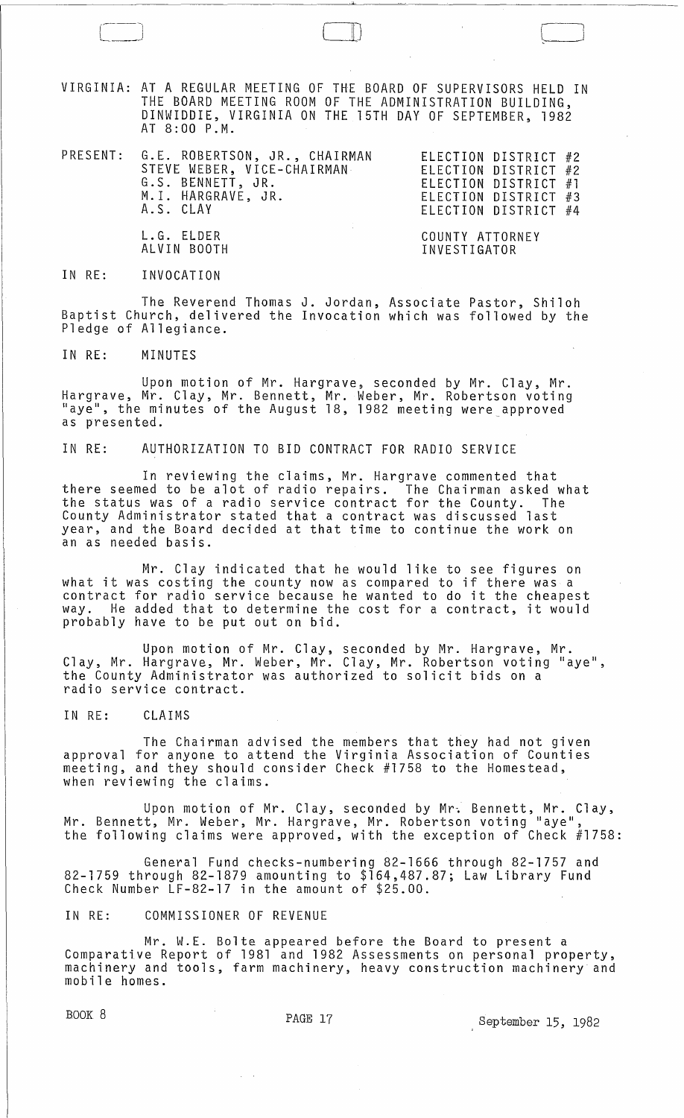VIRGINIA: AT A REGULAR MEETING OF THE BOARD OF SUPERVISORS HELD IN THE BOARD MEETING ROOM OF THE ADMINISTRATION BUILDING, DINWIDDIE, VIRGINIA ON THE 15TH DAY OF SEPTEMBER, 1982 AT 8:00 P.M.

 $\Box$ 

INVESTIGATOR

J

| PRESENT: G.E. ROBERTSON, JR., CHAIRMAN<br>STEVE WEBER, VICE-CHAIRMAN<br>G.S. BENNETT, JR.<br>M.I. HARGRAVE, JR.<br>A.S. CLAY | ELECTION DISTRICT #2<br>ELECTION DISTRICT #2<br>ELECTION DISTRICT #1<br>ELECTION DISTRICT #3<br>ELECTION DISTRICT #4 |
|------------------------------------------------------------------------------------------------------------------------------|----------------------------------------------------------------------------------------------------------------------|
| L.G. ELDER                                                                                                                   | COUNTY ATTORNEY                                                                                                      |

IN RE: ALVIN BOOTH INVOCATION

The Reverend Thomas J. Jordan, Associate Pastor, Shiloh Baptist Church, delivered the Invocation which was followed by the Pledge of Allegiance.

IN RE: MINUTES

Upon motion of Mr. Hargrave, seconded by Mr. Clay, Mr. Hargrave, Mr. Clay, Mr. Bennett, Mr. Weber, Mr. Robertson voting "aye", the minutes of the August 18, 1982 meeting were approved as presented.

IN RE: AUTHORIZATION TO BID CONTRACT FOR RADIO SERVICE

In reviewing the claims, Mr. Hargrave commented that there seemed to be alot of radio repairs. The Chairman asked what the status was of a radio service contract for the County. The County Administrator stated that a contract was discussed last year, and the Board decided at that time to continue the work on an as needed basis.

Mr. Clay indicated that he would like to see figures on what it was costing the county now as compared to if there was a contract for radio service because he wanted to do it the cheapest way. He added that to determine the cost for a contract, it would probably have to be put out on bid.

Upon motion of Mr. Clay, seconded by Mr. Hargrave, Mr. Clay, Mr. Hargrave, Mr. Weber, Mr. Clay, Mr. Robertson voting "aye", the County Administrator was authorized to solicit bids on a radio service contract.

IN RE: CLAIMS

The Chairman advised the members that they had not given approval for anyone to attend the Virginia Association of Counties meeting, and they should consider Check #1758 to the Homestead, when reviewing the claims.

Upon motion of Mr. Clay, seconded by Mr-. Bennett, Mr. Clay, Mr. Bennett, Mr. Weber, Mr. Hargrave, Mr. Robertson voting "aye", the following claims were approved, with the exception of  $\textsf{Check}\ \#1758\colon$ 

General Fund checks-numbering 82-1666 through 82-1757 and 82-1759 through 82-1879 amounting to \$164,487.87; Law Library Fund Check Number LF-82-17 in the amount of \$25.00.

IN RE: COMMISSIONER OF REVENUE

Mr. W.E. Bolte appeared before the Board to present a Comparative Report of 1981 and 1982 Assessments on personal property, machinery and tools, farm machinery, heavy construction machinery and mobile homes.

BOOK 8 **PAGE 17** PAGE 17 September 15, 1982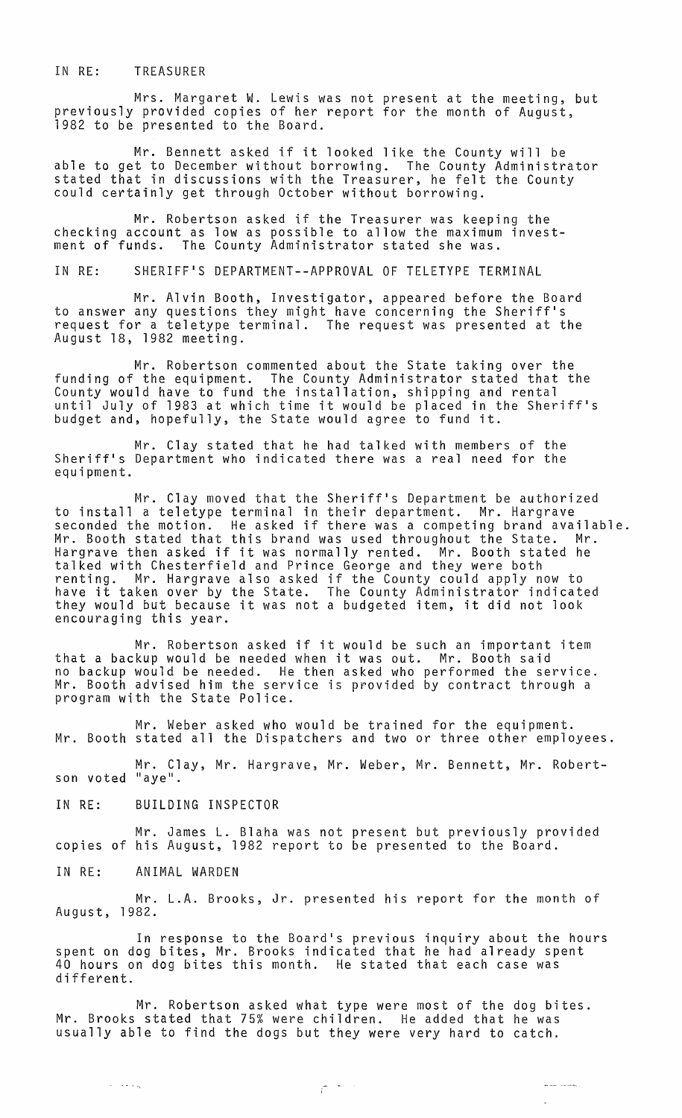# IN RE: TREASURER

Mrs. Margaret W. Lewis was not present at the meeting, but previously provided copies of her report for the month of August, 1982 to be presented to the Board.

Mr. Bennett asked if it looked like the County will be able to get to December without borrowing. The County Administrator stated that in discussions with the Treasurer, he felt the County could certainly get through October without borrowing.

Mr. Robertson asked if the Treasurer was keeping the checking account as low as possible to allow the maximum investment of funds. The County Administrator stated she was.

IN RE: SHERIFF'S DEPARTMENT--APPROVAL OF TELETYPE TERMINAL

Mr. Alvin Booth, Investigator, appeared before the Board to answer any questions they might have concerning the Sheriff's request for a teletype terminal. The request was presented at the August 18, 1982 meeting.

Mr. Robertson commented about the State taking over the funding of the equipment. The County Administrator stated that the County would have to fund the installation, shipping and rental until July of 1983 at which time it would be placed in the Sheriff's budget and, hopefully, the State would agree to fund it.

Mr. Clay stated that he had talked with members of the Sheriff's Department who indicated there was a real need for the equipment.

Mr. Clay moved that the Sheriff's Department be authorized to install a teletype terminal in their department. Mr. Hargrave seconded the motion. He asked if there was a competing brand available. Mr. Booth stated that this brand was used throughout the State. Mr. Hargrave then asked if it was normally rented. Mr. Booth stated he talked with Chesterfield and Prince George and they were both renting. Mr. Hargrave also asked if the County could apply now to have it taken over by the State. The County Administrator indicated they would but because it was not a budgeted item, it did not look encouraging this year.

Mr. Robertson asked if it would be such an important item that a backup would be needed when it was out. Mr. Booth said no backup would be needed. He then asked who performed the service. Mr. Booth advised him the service is provided by contract through a program with the State Police.

Mr. Weber asked who would be trained for the equipment. Mr. Booth stated all the Dispatchers and two or three other employees.

Mr. Clay, Mr. Hargrave, Mr. Weber, Mr. Bennett, Mr. Robertson voted "aye".

IN RE: BUILDING INSPECTOR

Mr. James L. Blaha was not present but previously provided copies of his August, 1982 report to be presented to the Board.

IN RE: ANIMAL WARDEN

Mr. L.A. Brooks, Jr. presented his report for the month of August, 1982.

In response to the Board's previous inquiry about the hours spent on dog bites, Mr. Brooks indicated that he had already spent 40 hours on dog bites this month. He stated that each case was different.

Mr. Robertson asked what type were most of the dog bites. Mr. Brooks stated that 75% were children. He added that he was usually able to find the dogs but they were very hard to catch.

 $\mathcal{L}^{(m)}$ 

 $\ddot{\phantom{a}}$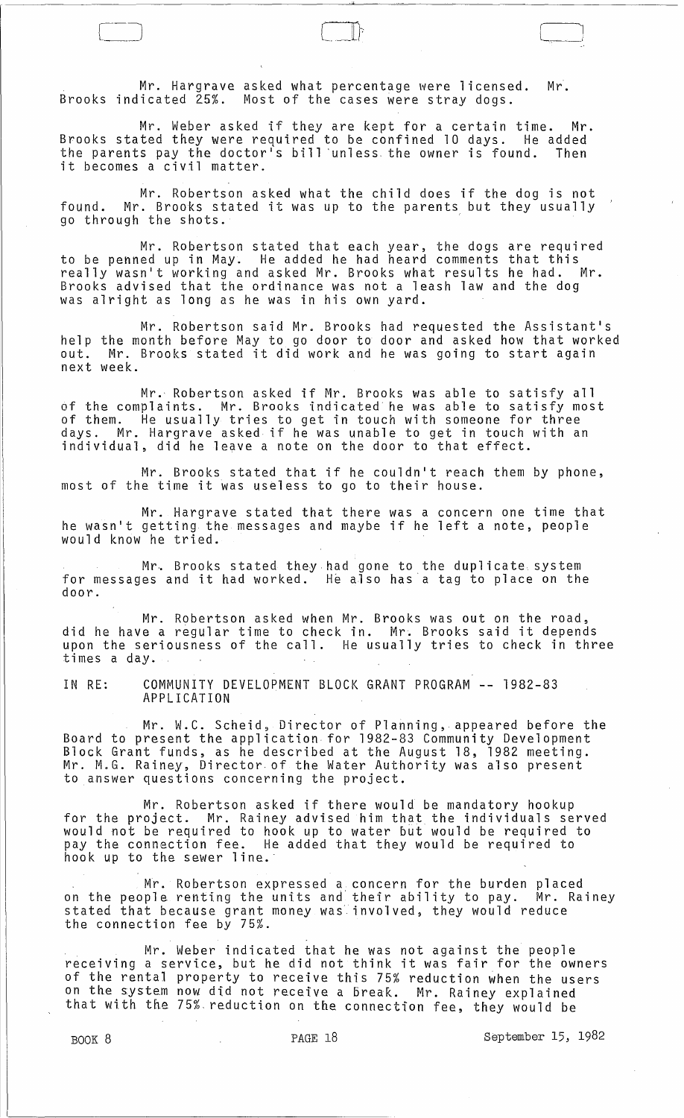Mr. Hargrave asked what percentage were licensed. Mr. Brooks indicated 25%. Most of the cases were stray dogs.

Mr. Weber asked if they are kept for a certain time. Mr. Brooks stated they were required to be confined 10 days. He added the parents pay the doctor's bill unless the owner is found. Then it becomes a civil matter.

 $\Box$ 

 $\frac{1}{2}$ 

Mr. Robertson asked what the child does if the dog is not found. Mr. Brooks stated it was up to the parents but they usually go through the shots.

Mr. Robertson stated that each year, the dogs are required to be penned up in May. He added he had heard comments that this really wasn't working and asked Mr. Brooks what results he had. Mr. Brooks advised that the ordinance was not a leash law and the dog was alright as long as he was in his own yard.

help the month before May to go door to door and asked how that worked neip the month before hay to go door to door and asked now that work<br>out. Mr. Brooks stated it did work and he was going to start again next week. Mr. Robertson said Mr. Brooks had requested the Assistant's

Mr.' Robertson asked if Mr. Brooks was able to satisfy all of the complaints. Mr. Brooks indicated he was able to satisfy most of them. He usually tries to get in touch with someone for three days. Mr. Hargrave asked if he was unable to get in touch with an individual, did he leave a note on the door to that effect.

Mr. Brooks stated that if he couldn't reach them by phone, most of the time it was useless to go to their house.

Mr. Hargrave stated that there was a concern one time that he wasn1t getting the messages and maybe if he left a note, people would know he tried.

Mr. Brooks stated they had gone to the duplicate system for messages and it had worked. He also has a tag to place on the door.

Mr. Robertson asked when Mr. Brooks was out on the road, did he have a regular time to check in. Mr. Brooks said it depends upon the seriousness of the call. He usually tries to check in three times a day.

IN RE: COMMUNITY DEVELOPMENT BLOCK GRANT PROGRAM -- 1982-83 APPLICATION

Mr. W.C. Scheid, Director of Planning, appeared before the Board to present the application for 1982-83 Community Development Block Grant funds, as he described at the August 18, 1982 meeting. Mr. M.G. Rainey, Director. of the Water Authority was also present to answer questions concerning the project.

Mr. Robertson asked if there would be mandatory hookup for the project. Mr. Rainey advised him that the individuals served would not be required to hook up to water but would be required to pay the connection fee. He added that they would be required to hook up to the sewer line.

Mr. Robertson expressed a concern for the burden placed on the people renttng the units and' their ability to pay. Mr. Rainey stated that because grant money was involved~ they would reduce the connection fee by 75%.

Mr. Weber indicated that he was not against the people receiving a service, but he did not think it was fair for the owners of the rental property to receive this 75% reduction when the users on the system now did not receive a break. Mr. Rainey explained that with the 75%. reduction on the connection fee, they would be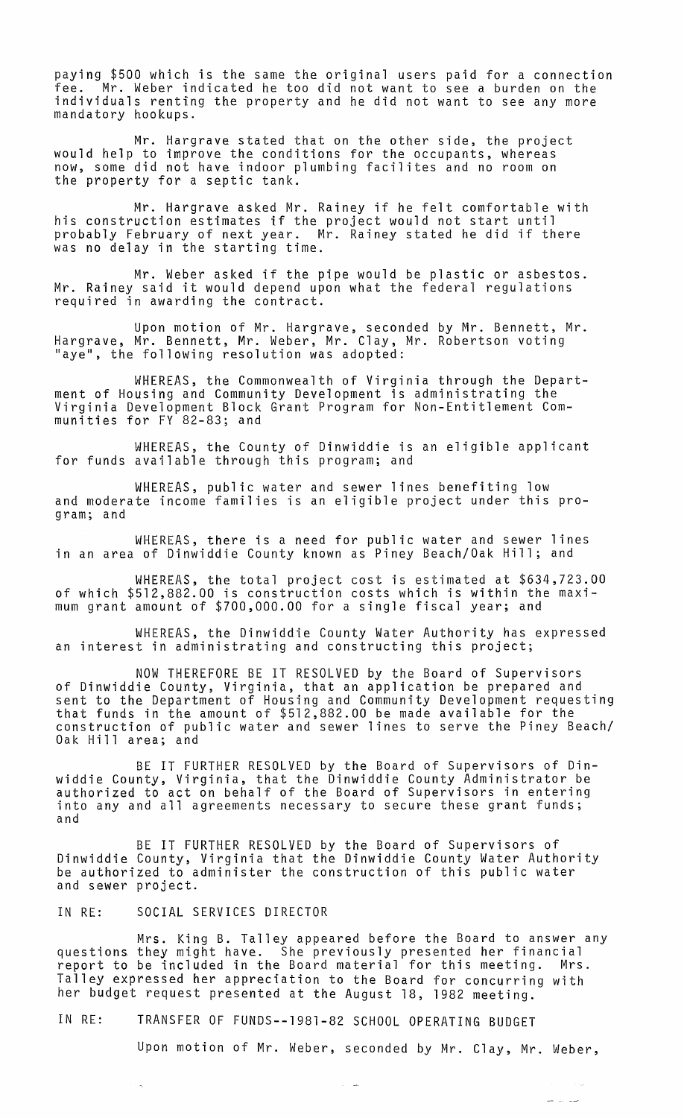paying \$500 which is the same the original users paid for a connection fee. Mr. Weber indicated he too did not want to see a burden on the individuals renting the property and he did not want to see any more mandatory hookups.

Mr. Hargrave stated that on the other side, the project would help to improve the conditions for the occupants, whereas now, some did not have indoor plumbing facilites and no room on the property for a septic tank.

Mr. Hargrave asked Mr. Rainey if he felt comfortable with his construction estimates if the project would not start until probably February of next year. Mr. Rainey stated he did if there was no delay in the starting time.

Mr. Weber asked if the pipe would be plastic or asbestos. Mr. Rainey said it would depend upon what the federal regulations required in awarding the contract.

Upon motion of Mr. Hargrave, seconded by Mr. Bennett, Mr. Hargrave, Mr. Bennett, Mr. Weber, Mr. Clay, Mr. Robertson voting "aye", the following resolution was adopted:

WHEREAS, the Commonwealth of Virginia through the Department of Housing and Community Development is administrating the Virginia Development Block Grant Program for Non-Entitlement Communities for FY 82-83; and

WHEREAS, the County of Dinwiddie is an eligible applicant for funds available through this program; and

WHEREAS, public water and sewer lines benefiting low and moderate income families is an eligible project under this program; and

WHEREAS, there is a need for public water and sewer lines in an area of Dinwiddie County known as Piney Beach/Oak Hill; and

WHEREAS, the total project cost is estimated at \$634,723.00 of which \$512,882.00 is construction costs which is within the maximum grant amount of \$700,000.00 for a single fiscal year; and

WHEREAS, the Dinwiddie County Water Authority has expressed an interest in administrating and constructing this project;

NOW THEREFORE BE IT RESOLVED by the Board of Supervisors of Dinwiddie County, Virginia, that an application be prepared and sent to the Department of Housing and Community Development requesting that funds in the amount of \$512,882.00 be made available for the construction of public water and sewer lines to serve the Piney Beach/ Oak Hill area; and

BE IT FURTHER RESOLVED by the Board of Supervisors of Dinwiddie County, Virginia, that the Dinwiddie County Administrator be authorized to act on behalf of the Board of Supervisors in entering into any and all agreements necessary to secure these grant funds; and

BE IT FURTHER RESOLVED by the Board of Supervisors of Dinwiddie County, Virginia that the Dinwiddie County Water Authority be authorized to administer the construction of this public water and sewer project.

IN RE: SOCIAL SERVICES DIRECTOR

Mrs. King B. Talley appeared before the Board to answer any questions they might have. She previously presented her financial report to be included in the Board material for this meeting. Mrs. Talley expressed her appreciation to the Board for concurring with her budget request presented at the August 18, 1982 meeting.

IN RE: TRANSFER OF FUNDS--1981-82 SCHOOL OPERATING BUDGET

Upon motion of Mr. Weber, seconded by Mr. Clay, Mr. Weber,

 $m = 100$ 

 $\tau=12$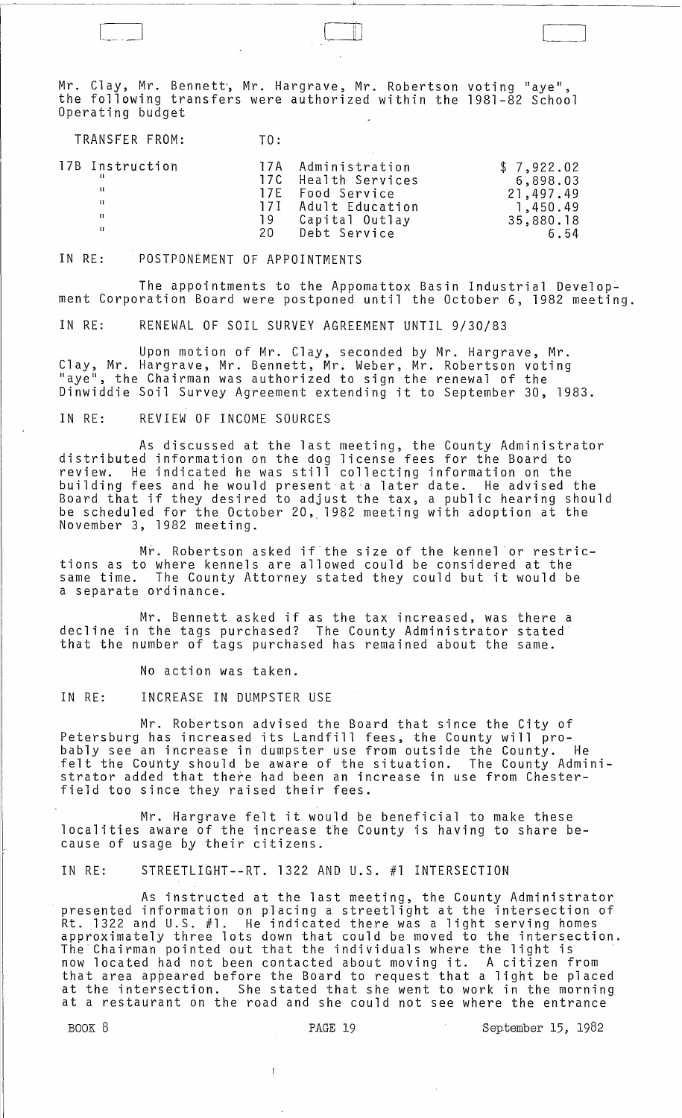Mr. Clay, Mr. Bennett, Mr. Hargrave, Mr. Robertson voting "aye", the following transfers were authorized within the 1981-82 School Operating budget

 $\Box$ 

| TRANSFER FROM: | $T0$ : |
|----------------|--------|
|                |        |

| 17B Instruction<br>and the contract of the |     | 17A Administration<br>17C Health Services | \$7,922.02<br>6,898.03 |
|--------------------------------------------|-----|-------------------------------------------|------------------------|
| н                                          |     | 17E Food Service                          | 21,497.49              |
| 11                                         |     | 17I Adult Education                       | 1,450.49               |
| 11.                                        | 19  | Capital Outlay                            | 35,880.18              |
| н.                                         | 20. | Debt Service                              | 6.54                   |
|                                            |     |                                           |                        |

#### IN RE: POSTPONEMENT OF APPOINTMENTS

The appointments to the Appomattox Basin Industrial Development Corporation Board were postponed until the October 6, 1982 meeting.

IN RE: RENEWAL OF SOIL SURVEY AGREEMENT UNTIL 9/30/83

Upon motion of Mr. Clay, seconded by Mr. Hargrave, Mr. Clay, Mr. Hargrave, Mr. Bennett, Mr. Weber, Mr. Robertson voting "aye", the Chairman was authorized to sign the renewal of the Dinwiddie Soil Survey Agreement extending it to September 30, 1983.

IN RE: REVIEW OF INCOME SOURCES

As discussed at the last meeting, the County Administrator distributed information on the dog license fees for the Board to review. He indicated he was still collecting information on the building fees and he would present at a later date. He advised the Board that if they desired to adjust the tax, a public hearing should be scheduled for the October 20,.1982 meeting with adoption at the November 3, 1982 meeting.

Mr. Robertson asked if the size of the kennel or restrictions as to where kennels are allowed could be considered at the same time. The County Attorney stated they could but it would be a separate ordinance.

Mr. Bennett asked if as the tax increased, was there a decline in the tags purchased? The County Administrator stated that the number of tags purchased has remained about the same.

No action was taken.

IN RE: INCREASE IN DUMPSTER USE

Mr. Robertson advised the Board that since the City of Petersburg has increased its Landfill fees, the County will probably see an increase in dumpster use from outside the County. He felt the County should be aware of the situation. The County Administrator added that there had been an increase in use from Chesterfield too since they raised their fees.

Mr. Hargrave felt it would be beneficial to make these localities aware of the increase the County is having to share because of usage by their citizens.

IN RE: STREETLIGHT--RT. 1322 AND U.S. #1 INTERSECTION

As instructed at the last meeting, the County Administrator presented information on placing a streetlight at the intersection of Rt. 1322 and U.S. #1. He indicated there was a light serving homes approximately three lots down that could be moved to the intersection.<br>The Chairman pointed out that the individuals where the light is approcessed on the cross down that the individuals where the light is.<br>The Chairman pointed out that the individuals where the light is<br>now located had not been contacted about moving it. A citizen from that area appeared before the Board to request that a light be placed at the intersection. She stated that she went to work in the morning at a restaurant on the road and she could not see where the entrance

BOOK 8 **PAGE 19 PAGE 19** September 15, 1982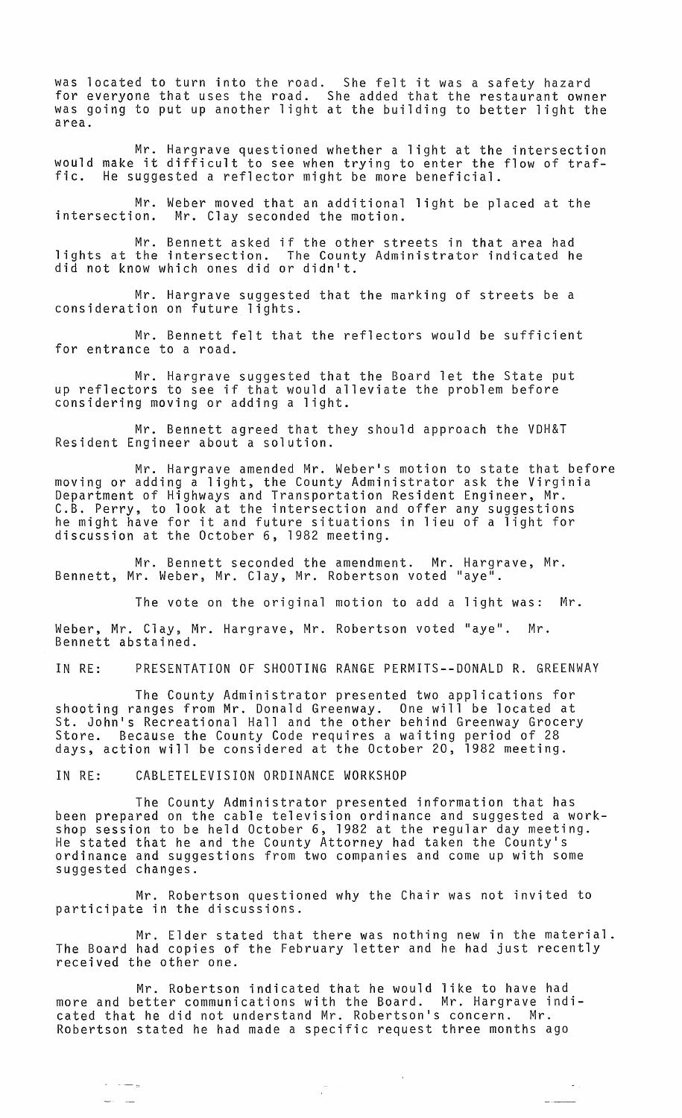was located to turn into the road. She felt it was a safety hazard for everyone that uses the road. She added that the restaurant owner was going to put up another light at the building to better light the area.

Mr. Hargrave questioned whether a light at the intersection would make it difficult to see when trying to enter the flow of traffic. He suggested a reflector might be more beneficial.

Mr. Weber moved that an additional light be placed at the intersection. Mr. Clay seconded the motion.

Mr. Bennett asked if the other streets in that area had lights at the intersection. The County Administrator indicated he di $\check{\rm d}$  not know which ones did or didn't. $\check{\phantom{\rm d}}$ 

Mr. Hargrave suggested that the marking of streets be a consideration on future lights.

Mr. Bennett felt that the reflectors would be sufficient for entrance to a road.

Mr. Hargrave suggested that the Board let the State put up reflectors to see if that would alleviate the problem before considering moving or adding a light.

Mr. Bennett agreed that they should approach the VDH&T Resident Engineer about a solution.

Mr. Hargrave amended Mr. Weber's motion to state that before moving or adding a light, the County Administrator ask the Virginia Department of Highways and Transportation Resident Engineer, Mr. C.B. Perry, to look at the intersection and offer any suggestions he might have for it and future situations in lieu of a light for discussion at the October 6, 1982 meeting.

Mr. Bennett seconded the amendment. Mr. Hargrave, Mr. Bennett, Mr. Weber, Mr. Clay, Mr. Robertson voted "aye<sup>"</sup>.

The vote on the original motion to add a light was: Mr.

Weber, Mr. Clay, Mr. Hargrave, Mr. Robertson voted "aye". Mr. Bennett abstained.

IN RE: PRESENTATION OF SHOOTING RANGE PERMITS--DONALD R. GREENWAY

The County Administrator presented two applications for shooting ranges from Mr. Donald Greenway. One will be located at St. John's Recreational Hall and the other behind Greenway Grocery Store. Because the County Code requires a waiting period of 28 days, action will be considered at the October 20, 1982 meeting.

# IN RE: CABLETELEVISION ORDINANCE WORKSHOP

 $\sim$   $\sim$   $\sim$   $\sim$   $\sim$  $\frac{1}{2} \frac{1}{2} \left( \frac{1}{2} \right)^2 + \frac{1}{2} \frac{1}{2} \left( \frac{1}{2} \right)^2$ 

The County Administrator presented information that has been prepared on the cable television ordinance and suggested a workshop session to be held October 6, 1982 at the regular day meeting. He stated that he and the County Attorney had taken the County1s ordinance and suggestions from two companies and come up with some suggested changes.

Mr. Robertson questioned why the Chair was not invited to participate in the discussions.

Mr. Elder stated that there was nothing new in the material. The Board had copies of the February letter and he had just recently received the other one.

Mr. Robertson indicated that he would like to have had more and better communications with the Board. Mr. Hargrave indicated that he did not understand Mr. Robertson's concern. Mr. Robertson stated he had made a specific request three months ago

 $\frac{1}{\sqrt{2}}$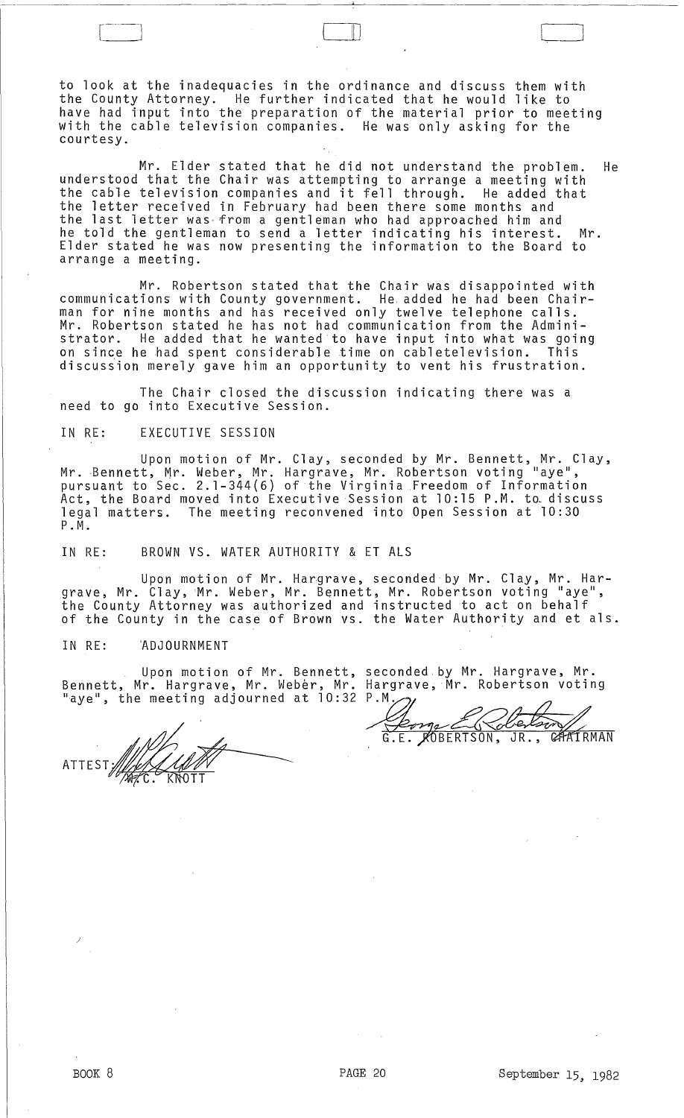to look at the inadequacies in the ordinance and discuss them with the County Attorney. He further indicated that he would like to have had input into the preparation of the material prior to meeting with the cable television companies. He was only asking for the courtesy.

Mr. Elder stated that he did not understand the problem. He understood that the Chair was attempting to arrange a meeting with the cable television companies and it fell through. He added that the letter received in February had been there some months and the last letter was-from a gentleman who had approached him and he told the gentleman to send a letter indicating his interest. Mr. Elder stated he was now presenting the information to the Board to arrange a meeting.

Mr. Robertson stated that the Chair was disappointed with communications with County government. He added he had been Chairman for nine months and has received only twelve telephone calls. Mr. Robertson stated he has not had communication from the Administrator. He added that he wanted to have input into what was going<br>on since he had spent considerable time on cabletelevision. This on since he had spent considerable time on cabletelevision. discussion merely gave him an opportunity to vent his frustration.

The Chair closed the discussion indicating there was a need to go into Executive Session.

## IN RE: EXECUTIVE SESSION

Upon motion of Mr. Clay, seconded by Mr. Bennett, Mr. Clay, Mr. Bennett, Mr. Weber, Mr. Hargrave, Mr. Robertson voting "aye", pursuant to Sec. 2.1-344(6) of the Virginia Freedom of Information Act, the Board moved into Executive Session at 10:15 P.M. to discuss legal matters. The meeting reconvened into Open Session at 10:30 P . M .

IN RE: BROWN VS. WATER AUTHORITY & ET ALS

Upon motion of Mr. Hargrave, seconded by Mr. Clay, Mr. Hargrave, Mr. Clay, Mr. Weber, Mr. Bennett, Mr. Robertson voting "aye", the County Attorney was authorized and instructed to act on behalf of the County in the case of Brown vs. the Water Authority and et als.

## IN RE: ADJOURNMENT

Upon motion of Mr. Bennett, Bennett, Mr. Hargrave, Mr. Weber, Mr. "aye", the meeting adjourned at 10:32

ATT <sup>E</sup>STN------------ • C. K TT

seconded.by Mr. Hargrave, Mr.

 $\Box$ 

seconded by Mr. Hargrave, Mr.<br>Hargrave, Mr. Robertson voting<br>P.M. Wertson, JR., CHAIRMAN G.E. KOBERTSON, JR., CAAIRMAN